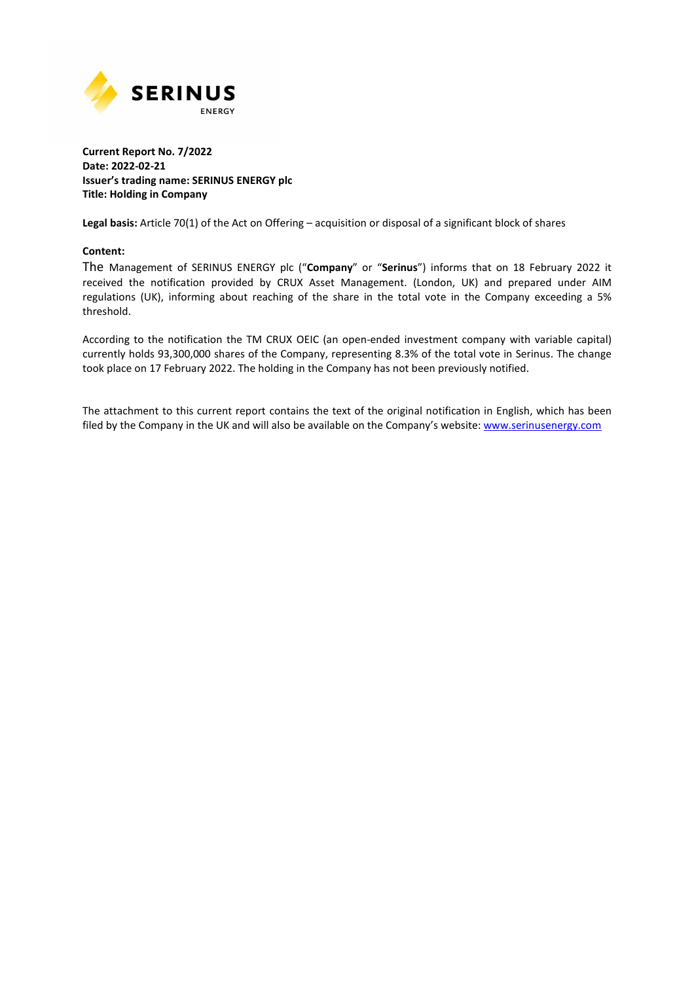

#### **Current Report No. 7/2022 Date: 2022-02-21 Issuer's trading name: SERINUS ENERGY plc Title: Holding in Company**

**Legal basis:** Article 70(1) of the Act on Offering – acquisition or disposal of a significant block of shares

#### **Content:**

The Management of SERINUS ENERGY plc ("**Company**" or "**Serinus**") informs that on 18 February 2022 it received the notification provided by CRUX Asset Management. (London, UK) and prepared under AIM regulations (UK), informing about reaching of the share in the total vote in the Company exceeding a 5% threshold.

According to the notification the TM CRUX OEIC (an open-ended investment company with variable capital) currently holds 93,300,000 shares of the Company, representing 8.3% of the total vote in Serinus. The change took place on 17 February 2022. The holding in the Company has not been previously notified.

The attachment to this current report contains the text of the original notification in English, which has been filed by the Company in the UK and will also be available on the Company's website: www.serinusenergy.com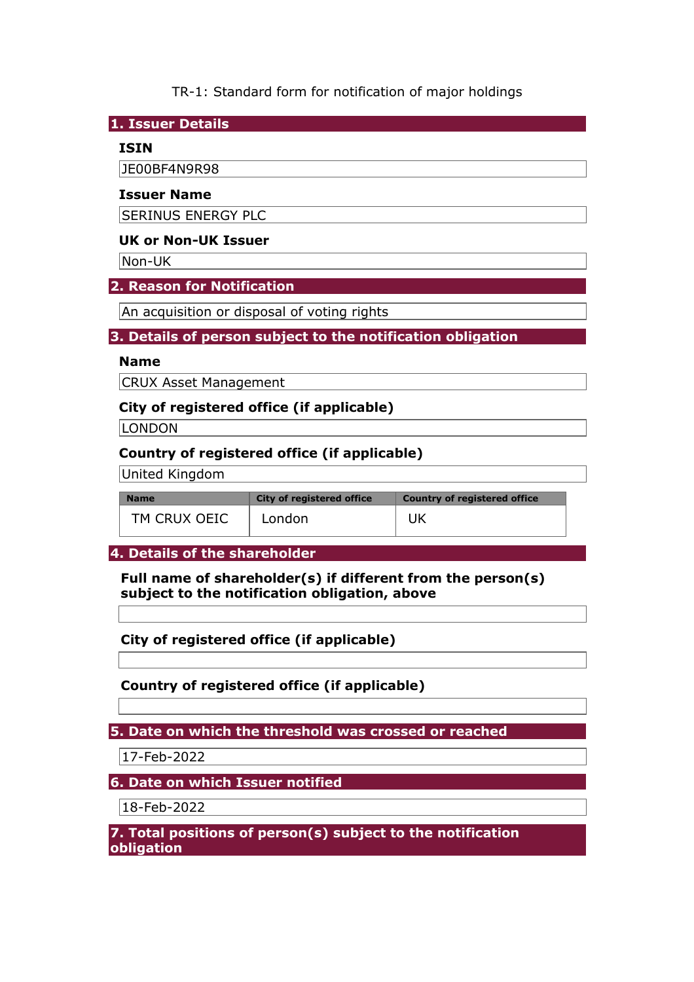TR-1: Standard form for notification of major holdings

**1. Issuer Details** 

## **ISIN**

JE00BF4N9R98

#### **Issuer Name**

SERINUS ENERGY PLC

# **UK or Non-UK Issuer**

Non-UK

# **2. Reason for Notification**

An acquisition or disposal of voting rights

# **3. Details of person subject to the notification obligation**

#### **Name**

CRUX Asset Management

# **City of registered office (if applicable)**

**LONDON** 

# **Country of registered office (if applicable)**

United Kingdom

| <b>Name</b>  | <b>City of registered office</b> | <b>Country of registered office</b> |  |
|--------------|----------------------------------|-------------------------------------|--|
| TM CRUX OEIC | London                           |                                     |  |

## **4. Details of the shareholder**

**Full name of shareholder(s) if different from the person(s) subject to the notification obligation, above** 

**City of registered office (if applicable)** 

**Country of registered office (if applicable)** 

**5. Date on which the threshold was crossed or reached** 

17-Feb-2022

# **6. Date on which Issuer notified**

18-Feb-2022

**7. Total positions of person(s) subject to the notification obligation**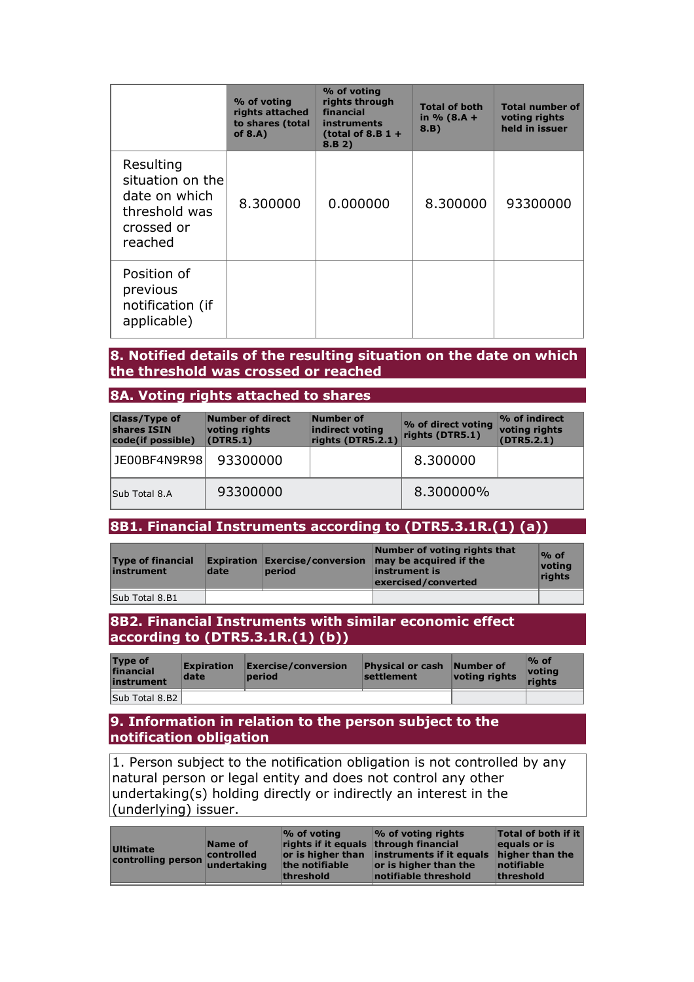|                                                                                          | % of voting<br>rights attached<br>to shares (total<br>of $8.A$ ) | % of voting<br>rights through<br>financial<br>instruments<br>(total of 8.B $1 +$<br>8.B 2) | <b>Total of both</b><br>in $% (8.A +$<br>8.B) | <b>Total number of</b><br>voting rights<br>held in issuer |
|------------------------------------------------------------------------------------------|------------------------------------------------------------------|--------------------------------------------------------------------------------------------|-----------------------------------------------|-----------------------------------------------------------|
| Resulting<br>situation on the<br>date on which<br>threshold was<br>crossed or<br>reached | 8.300000                                                         | 0.000000                                                                                   | 8.300000                                      | 93300000                                                  |
| Position of<br>previous<br>notification (if<br>applicable)                               |                                                                  |                                                                                            |                                               |                                                           |

# **8. Notified details of the resulting situation on the date on which the threshold was crossed or reached**

## **8A. Voting rights attached to shares**

| <b>Class/Type of</b><br>shares ISIN<br>code(if possible) | Number of direct<br>voting rights<br>(DTR5.1) | Number of<br>indirect voting<br>rights (DTR5.2.1) | % of direct voting<br>rights (DTR5.1) | $\%$ of indirect<br>voting rights<br>(DTR5.2.1) |
|----------------------------------------------------------|-----------------------------------------------|---------------------------------------------------|---------------------------------------|-------------------------------------------------|
| JE00BF4N9R98                                             | 93300000                                      |                                                   | 8.300000                              |                                                 |
| Sub Total 8.A                                            | 93300000                                      |                                                   | 8.300000%                             |                                                 |

# **8B1. Financial Instruments according to (DTR5.3.1R.(1) (a))**

| <b>Type of financial</b><br>instrument | date | <b>Expiration Exercise/conversion</b><br>period | Number of voting rights that<br>may be acquired if the<br>linstrument is<br>exercised/converted | $%$ of<br>votina<br><b>rights</b> |
|----------------------------------------|------|-------------------------------------------------|-------------------------------------------------------------------------------------------------|-----------------------------------|
| Sub Total 8.B1                         |      |                                                 |                                                                                                 |                                   |

## **8B2. Financial Instruments with similar economic effect according to (DTR5.3.1R.(1) (b))**

| <b>Type of</b><br>financial<br>instrument | <b>Expiration</b><br>date | <b>Exercise/conversion</b><br>period | <b>Physical or cash</b><br><b>settlement</b> | Number of<br>voting rights | $\%$ of<br><u> votina</u><br>rights |
|-------------------------------------------|---------------------------|--------------------------------------|----------------------------------------------|----------------------------|-------------------------------------|
| Sub Total 8.B2                            |                           |                                      |                                              |                            |                                     |

**9. Information in relation to the person subject to the notification obligation** 

 $|1$ . Person subject to the notification obligation is not controlled by any natural person or legal entity and does not control any other undertaking(s) holding directly or indirectly an interest in the (underlying) issuer.